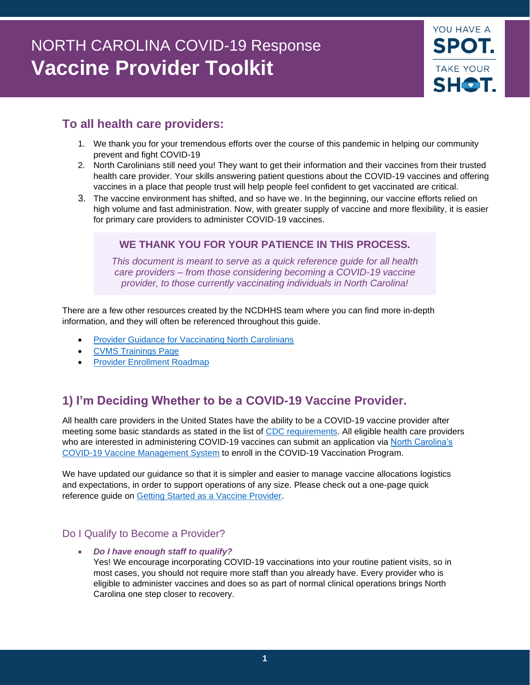# NORTH CAROLINA COVID-19 Response **Vaccine Provider Toolkit**



# **To all health care providers:**

- 1. We thank you for your tremendous efforts over the course of this pandemic in helping our community prevent and fight COVID-19
- 2. North Carolinians still need you! They want to get their information and their vaccines from their trusted health care provider. Your skills answering patient questions about the COVID-19 vaccines and offering vaccines in a place that people trust will help people feel confident to get vaccinated are critical.
- 3. The vaccine environment has shifted, and so have we. In the beginning, our vaccine efforts relied on high volume and fast administration. Now, with greater supply of vaccine and more flexibility, it is easier for primary care providers to administer COVID-19 vaccines.

# **WE THANK YOU FOR YOUR PATIENCE IN THIS PROCESS.**

*This document is meant to serve as a quick reference guide for all health care providers – from those considering becoming a COVID-19 vaccine provider, to those currently vaccinating individuals in North Carolina!*

There are a few other resources created by the NCDHHS team where you can find more in-depth information, and they will often be referenced throughout this guide.

- [Provider Guidance for Vaccinating North Carolinians](https://covid19.ncdhhs.gov/vaccines/providers)
- [CVMS Trainings Page](https://covid19.ncdhhs.gov/vaccines/providers/cvms-user-guides-recorded-trainings-and-upcoming-trainings)
- [Provider Enrollment Roadmap](https://covid19.ncdhhs.gov/media/3024/download?attachment)

# **1) I'm Deciding Whether to be a COVID-19 Vaccine Provider.**

All health care providers in the United States have the ability to be a COVID-19 vaccine provider after meeting some basic standards as stated in the list of [CDC requirements.](https://www.cdc.gov/vaccines/covid-19/vaccination-provider-support.html) All eligible health care providers who are interested in administering COVID-19 vaccines can submit an application via North Carolina's [COVID-19 Vaccine Management System](https://covid19.ncdhhs.gov/vaccines/info-health-care-providers/covid-19-vaccine-management-system-cvms) to enroll in the COVID-19 Vaccination Program.

We have updated our guidance so that it is simpler and easier to manage vaccine allocations logistics and expectations, in order to support operations of any size. Please check out a one-page quick reference guide on [Getting Started as a Vaccine Provider.](https://covid19.ncdhhs.gov/media/2667/open)

# Do I Qualify to Become a Provider?

• *Do I have enough staff to qualify?*  Yes! We encourage incorporating COVID-19 vaccinations into your routine patient visits, so in most cases, you should not require more staff than you already have. Every provider who is eligible to administer vaccines and does so as part of normal clinical operations brings North Carolina one step closer to recovery.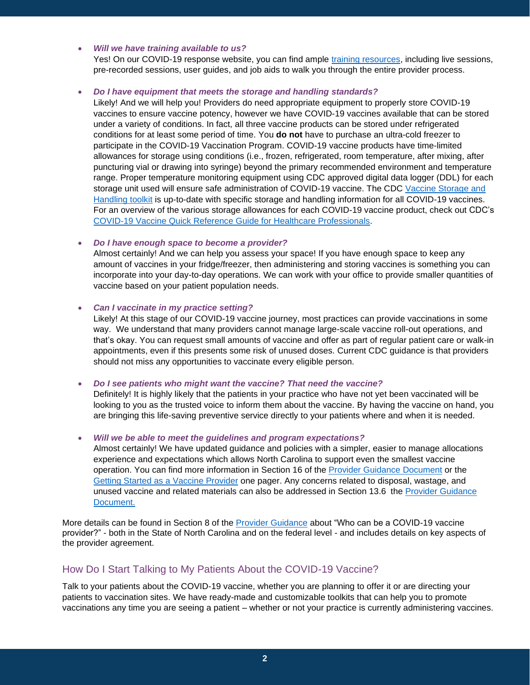#### • *Will we have training available to us?*

Yes! On our COVID-19 response website, you can find ample [training resources,](https://covid19.ncdhhs.gov/vaccines/providers/cvms-user-guides-recorded-trainings-and-upcoming-trainings) including live sessions, pre-recorded sessions, user guides, and job aids to walk you through the entire provider process.

#### • *Do I have equipment that meets the storage and handling standards?*

Likely! And we will help you! Providers do need appropriate equipment to properly store COVID-19 vaccines to ensure vaccine potency, however we have COVID-19 vaccines available that can be stored under a variety of conditions. In fact, all three vaccine products can be stored under refrigerated conditions for at least some period of time. You **do not** have to purchase an ultra-cold freezer to participate in the COVID-19 Vaccination Program. COVID-19 vaccine products have time-limited allowances for storage using conditions (i.e., frozen, refrigerated, room temperature, after mixing, after puncturing vial or drawing into syringe) beyond the primary recommended environment and temperature range. Proper temperature monitoring equipment using CDC approved digital data logger (DDL) for each storage unit used will ensure safe administration of COVID-19 vaccine. The CDC Vaccine Storage and [Handling toolkit](https://www.cdc.gov/vaccines/hcp/admin/storage/toolkit/index.html) is up-to-date with specific storage and handling information for all COVID-19 vaccines. For an overview of the various storage allowances for each COVID-19 vaccine product, check out CDC's [COVID-19 Vaccine Quick Reference Guide for Healthcare Professionals.](https://www.cdc.gov/vaccines/covid-19/downloads/covid19-vaccine-quick-reference-guide-2pages.pdf)

#### • *Do I have enough space to become a provider?*

Almost certainly! And we can help you assess your space! If you have enough space to keep any amount of vaccines in your fridge/freezer, then administering and storing vaccines is something you can incorporate into your day-to-day operations. We can work with your office to provide smaller quantities of vaccine based on your patient population needs.

#### • *Can I vaccinate in my practice setting?*

Likely! At this stage of our COVID-19 vaccine journey, most practices can provide vaccinations in some way. We understand that many providers cannot manage large-scale vaccine roll-out operations, and that's okay. You can request small amounts of vaccine and offer as part of regular patient care or walk-in appointments, even if this presents some risk of unused doses. Current CDC guidance is that providers should not miss any opportunities to vaccinate every eligible person.

• *Do I see patients who might want the vaccine? That need the vaccine?*

Definitely! It is highly likely that the patients in your practice who have not yet been vaccinated will be looking to you as the trusted voice to inform them about the vaccine. By having the vaccine on hand, you are bringing this life-saving preventive service directly to your patients where and when it is needed.

#### • *Will we be able to meet the guidelines and program expectations?*

Almost certainly! We have updated guidance and policies with a simpler, easier to manage allocations experience and expectations which allows North Carolina to support even the smallest vaccine operation. You can find more information in Section 16 of the [Provider Guidance](https://covid19.ncdhhs.gov/media/1233/download) Document or the [Getting Started as a Vaccine Provider](https://covid19.ncdhhs.gov/media/2667/open) one pager. Any concerns related to disposal, wastage, and unused vaccine and related materials can also be addressed in Section 13.6 the [Provider Guidance](https://covid19.ncdhhs.gov/media/1233/download)  [Document.](https://covid19.ncdhhs.gov/media/1233/download)

More details can be found in Section 8 of the [Provider Guidance](https://covid19.ncdhhs.gov/media/1233/download) about "Who can be a COVID-19 vaccine provider?" - both in the State of North Carolina and on the federal level - and includes details on key aspects of the provider agreement.

# How Do I Start Talking to My Patients About the COVID-19 Vaccine?

Talk to your patients about the COVID-19 vaccine, whether you are planning to offer it or are directing your patients to vaccination sites. We have ready-made and customizable toolkits that can help you to promote vaccinations any time you are seeing a patient – whether or not your practice is currently administering vaccines.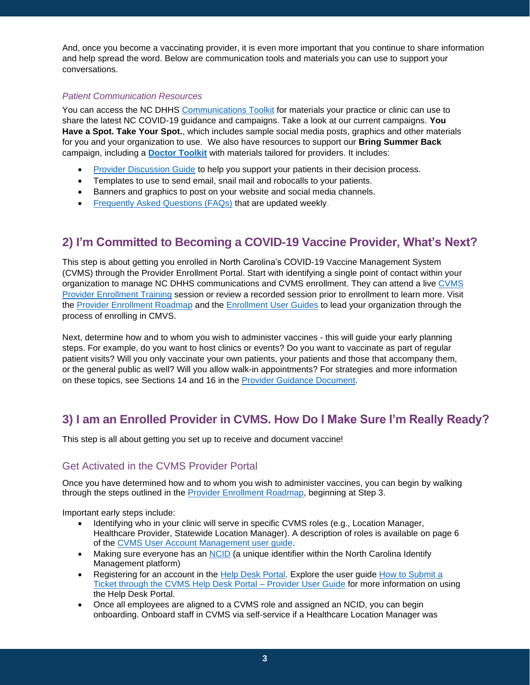And, once you become a vaccinating provider, it is even more important that you continue to share information and help spread the word. Below are communication tools and materials you can use to support your conversations.

#### *Patient Communication Resources*

You can access the NC DHHS [Communications Toolkit](https://covid19.ncdhhs.gov/vaccines/covid-19-vaccine-communications-toolkit) for materials your practice or clinic can use to share the latest NC COVID-19 guidance and campaigns. Take a look at our current campaigns. **You Have a Spot. Take Your Spot.**, which includes sample social media posts, graphics and other materials for you and your organization to use. We also have resources to support our **Bring Summer Back** campaign, including a **[Doctor Toolkit](https://thesocialpresskit.com/you-have-a-spot-take-your-shot#bring-summer-back-partner-toolkit--doctor-toolkit)** with materials tailored for providers. It includes:

- [Provider Discussion Guide](https://covid19.ncdhhs.gov/media/2737/open) to help you support your patients in their decision process.
- Templates to use to send email, snail mail and robocalls to your patients.
- Banners and graphics to post on your website and social media channels.
- [Frequently Asked Questions \(FAQs\)](https://covid19.ncdhhs.gov/vaccines/frequently-asked-questions-about-covid-19-vaccinations) that are updated weekly.

# **2) I'm Committed to Becoming a COVID-19 Vaccine Provider, What's Next?**

This step is about getting you enrolled in North Carolina's COVID-19 Vaccine Management System (CVMS) through the Provider Enrollment Portal. Start with identifying a single point of contact within your organization to manage NC DHHS communications and CVMS enrollment. They can attend a live [CVMS](https://covid19.ncdhhs.gov/vaccines/providers/cvms-user-guides-recorded-trainings-and-upcoming-trainings)  [Provider Enrollment Training](https://covid19.ncdhhs.gov/vaccines/providers/cvms-user-guides-recorded-trainings-and-upcoming-trainings) session or review a recorded session prior to enrollment to learn more. Visit the [Provider Enrollment Roadmap](https://covid19.ncdhhs.gov/media/3024/download?attachment) and the [Enrollment User Guides](https://covid19.ncdhhs.gov/vaccines/providers/cvms-user-guides-recorded-trainings-and-upcoming-trainings) to lead your organization through the process of enrolling in CMVS.

Next, determine how and to whom you wish to administer vaccines - this will guide your early planning steps. For example, do you want to host clinics or events? Do you want to vaccinate as part of regular patient visits? Will you only vaccinate your own patients, your patients and those that accompany them, or the general public as well? Will you allow walk-in appointments? For strategies and more information on these topics, see Sections 14 and 16 in the [Provider Guidance](https://covid19.ncdhhs.gov/media/1233/download) Document.

# **3) I am an Enrolled Provider in CVMS. How Do I Make Sure I'm Really Ready?**

This step is all about getting you set up to receive and document vaccine!

# Get Activated in the CVMS Provider Portal

Once you have determined how and to whom you wish to administer vaccines, you can begin by walking through the steps outlined in the [Provider Enrollment Roadmap,](https://covid19.ncdhhs.gov/media/3024/download?attachment) beginning at Step 3.

Important early steps include:

- Identifying who in your clinic will serve in specific CVMS roles (e.g., Location Manager, Healthcare Provider, Statewide Location Manager). A description of roles is available on page 6 of the [CVMS User Account Management user guide.](https://covid19.ncdhhs.gov/media/2967/open)
- Making sure everyone has an [NCID](https://ncid.nc.gov/) (a unique identifier within the North Carolina Identify Management platform)
- Registering for an account in the [Help Desk Portal.](https://covid19.ncdhhs.gov/how-submit-ticket-through-cvms-help-desk-portal-provider-user-guide/download?attachment) Explore the user guide How to Submit a [Ticket through the CVMS Help Desk Portal –](https://covid19.ncdhhs.gov/vaccines/providers/cvms-user-guides-recorded-trainings-and-upcoming-trainings) Provider User Guide for more information on using the Help Desk Portal.
- Once all employees are aligned to a CVMS role and assigned an NCID, you can begin onboarding. Onboard staff in CVMS via self-service if a Healthcare Location Manager was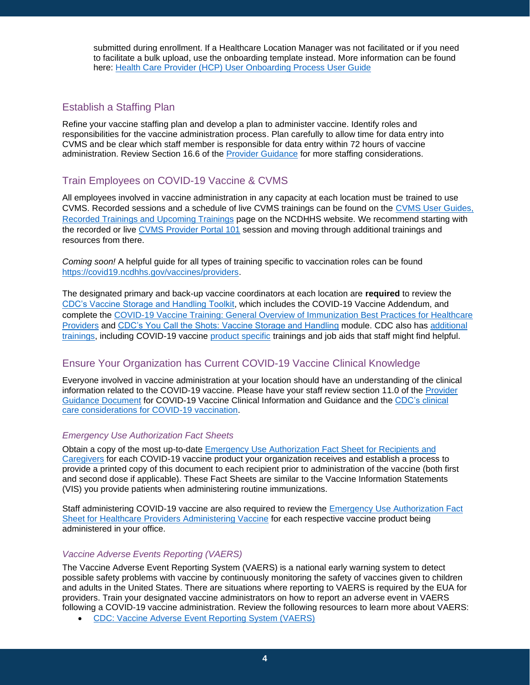submitted during enrollment. If a Healthcare Location Manager was not facilitated or if you need to facilitate a bulk upload, use the onboarding template instead. More information can be found here: Health Care Provider (HCP) [User Onboarding Process User Guide](https://covid19.ncdhhs.gov/hcp-user-onboarding-process-user-guide)

# Establish a Staffing Plan

Refine your vaccine staffing plan and develop a plan to administer vaccine. Identify roles and responsibilities for the vaccine administration process. Plan carefully to allow time for data entry into CVMS and be clear which staff member is responsible for data entry within 72 hours of vaccine administration. Review Section 16.6 of the [Provider Guidance](https://covid19.ncdhhs.gov/media/1233/download) for more staffing considerations.

# Train Employees on COVID-19 Vaccine & CVMS

All employees involved in vaccine administration in any capacity at each location must be trained to use CVMS. Recorded sessions and a schedule of live CVMS trainings can be found on the [CVMS User Guides,](https://covid19.ncdhhs.gov/vaccines/providers/cvms-user-guides-recorded-trainings-and-upcoming-trainings)  [Recorded Trainings and Upcoming Trainings](https://covid19.ncdhhs.gov/vaccines/providers/cvms-user-guides-recorded-trainings-and-upcoming-trainings) page on the NCDHHS website. We recommend starting with the recorded or live [CVMS Provider Portal 101](https://youtu.be/3LiKyr_lh9Y) session and moving through additional trainings and resources from there.

*Coming soon!* A helpful guide for all types of training specific to vaccination roles can be found [https://covid19.ncdhhs.gov/vaccines/providers.](https://covid19.ncdhhs.gov/vaccines/providers)

The designated primary and back-up vaccine coordinators at each location are **required** to review the [CDC's Vaccine Storage and Handling Toolkit,](https://www.cdc.gov/vaccines/hcp/admin/storage/toolkit/index.html) which includes the COVID-19 Vaccine Addendum, and complete the [COVID-19 Vaccine Training: General Overview of Immunization Best Practices for Healthcare](https://www2.cdc.gov/vaccines/ed/covid19/SHVA/index.asp)  [Providers](https://www2.cdc.gov/vaccines/ed/covid19/SHVA/index.asp) and [CDC's You Call the Shots: Vaccine Storage and Handling](https://www2a.cdc.gov/nip/isd/ycts/mod1/courses/sh/ce.asp) module. CDC also has [additional](https://www.cdc.gov/vaccines/covid-19/training-education/index.html)  [trainings,](https://www.cdc.gov/vaccines/covid-19/training-education/index.html) including COVID-19 vaccine [product specific](https://www.cdc.gov/vaccines/covid-19/info-by-product/index.html) trainings and job aids that staff might find helpful.

# Ensure Your Organization has Current COVID-19 Vaccine Clinical Knowledge

Everyone involved in vaccine administration at your location should have an understanding of the clinical information related to the COVID-19 vaccine. Please have your staff review section 11.0 of the [Provider](https://covid19.ncdhhs.gov/media/1233/download)  [Guidance Document](https://covid19.ncdhhs.gov/media/1233/download) for COVID-19 Vaccine Clinical Information and Guidance and the [CDC's clinical](https://www.cdc.gov/vaccines/covid-19/clinical-considerations/index.html)  [care considerations for COVID-19 vaccination.](https://www.cdc.gov/vaccines/covid-19/clinical-considerations/index.html)

#### *Emergency Use Authorization Fact Sheets*

Obtain a copy of the most up-to-date [Emergency Use Authorization Fact Sheet](https://www.cdc.gov/vaccines/covid-19/eua/index.html) for Recipients and [Caregivers](https://www.cdc.gov/vaccines/covid-19/eua/index.html) for each COVID-19 vaccine product your organization receives and establish a process to provide a printed copy of this document to each recipient prior to administration of the vaccine (both first and second dose if applicable). These Fact Sheets are similar to the Vaccine Information Statements (VIS) you provide patients when administering routine immunizations.

Staff administering COVID-19 vaccine are also required to review the [Emergency Use Authorization Fact](https://www.fda.gov/emergency-preparedness-and-response/mcm-legal-regulatory-and-policy-framework/emergency-use-authorization#vaccines)  Sheet [for Healthcare Providers](https://www.fda.gov/emergency-preparedness-and-response/mcm-legal-regulatory-and-policy-framework/emergency-use-authorization#vaccines) Administering Vaccine for each respective vaccine product being administered in your office.

#### *Vaccine Adverse Events Reporting (VAERS)*

The Vaccine Adverse Event Reporting System (VAERS) is a national early warning system to detect possible safety problems with vaccine by continuously monitoring the safety of vaccines given to children and adults in the United States. There are situations where reporting to VAERS is required by the EUA for providers. Train your designated vaccine administrators on how to report an adverse event in VAERS following a COVID-19 vaccine administration. Review the following resources to learn more about VAERS:

• [CDC: Vaccine Adverse Event Reporting System \(VAERS\)](https://www.cdc.gov/vaccinesafety/ensuringsafety/monitoring/vaers/index.html)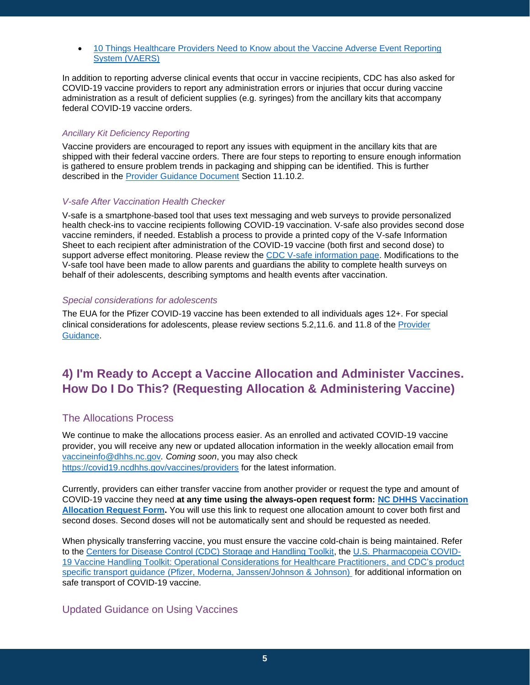• [10 Things Healthcare Providers Need to Know about the Vaccine Adverse Event Reporting](https://www.cdc.gov/coronavirus/2019-ncov/downloads/vaccines/10-things-healthcare-providers-need-to-know-about-VAERS.pdf)  [System \(VAERS\)](https://www.cdc.gov/coronavirus/2019-ncov/downloads/vaccines/10-things-healthcare-providers-need-to-know-about-VAERS.pdf)

In addition to reporting adverse clinical events that occur in vaccine recipients, CDC has also asked for COVID-19 vaccine providers to report any administration errors or injuries that occur during vaccine administration as a result of deficient supplies (e.g. syringes) from the ancillary kits that accompany federal COVID-19 vaccine orders.

#### *Ancillary Kit Deficiency Reporting*

Vaccine providers are encouraged to report any issues with equipment in the ancillary kits that are shipped with their federal vaccine orders. There are four steps to reporting to ensure enough information is gathered to ensure problem trends in packaging and shipping can be identified. This is further described in the [Provider Guidance Document](https://covid19.ncdhhs.gov/media/1233/download) Section 11.10.2.

#### *V-safe After Vaccination Health Checker*

V-safe is a smartphone-based tool that uses text messaging and web surveys to provide personalized health check-ins to vaccine recipients following COVID-19 vaccination. V-safe also provides second dose vaccine reminders, if needed. Establish a process to provide a printed copy of the V-safe Information Sheet to each recipient after administration of the COVID-19 vaccine (both first and second dose) to support adverse effect monitoring. Please review the [CDC V-safe information page.](https://www.cdc.gov/coronavirus/2019-ncov/vaccines/safety/vsafe.html) Modifications to the V-safe tool have been made to allow parents and guardians the ability to complete health surveys on behalf of their adolescents, describing symptoms and health events after vaccination.

#### *Special considerations for adolescents*

The EUA for the Pfizer COVID-19 vaccine has been extended to all individuals ages 12+. For special clinical considerations for adolescents, please review sections 5.2,11.6. and 11.8 of the [Provider](https://covid19.ncdhhs.gov/media/1233/download)  [Guidance.](https://covid19.ncdhhs.gov/media/1233/download)

# **4) I'm Ready to Accept a Vaccine Allocation and Administer Vaccines. How Do I Do This? (Requesting Allocation & Administering Vaccine)**

# The Allocations Process

We continue to make the allocations process easier. As an enrolled and activated COVID-19 vaccine provider, you will receive any new or updated allocation information in the weekly allocation email from [vaccineinfo@dhhs.nc.gov](mailto:vaccineinfo@dhhs.nc.gov)*. Coming soon*, you may also check <https://covid19.ncdhhs.gov/vaccines/providers> for the latest information.

Currently, providers can either transfer vaccine from another provider or request the type and amount of COVID-19 vaccine they need **at any time using the always-open request form: [NC DHHS Vaccination](https://urldefense.com/v3/__https:/surveymax.dhhs.state.nc.us/TakeSurvey.aspx?SurveyID=98MI76m3__;!!HYmSToo!KcX0sBBuw1_9coYsCk85yv7t1oXvHJZ4DCXbHe9NzZ-wc8bUxNzB4T-kWApr62l3Ag2YA68A0SfaEw$)  [Allocation Request Form.](https://urldefense.com/v3/__https:/surveymax.dhhs.state.nc.us/TakeSurvey.aspx?SurveyID=98MI76m3__;!!HYmSToo!KcX0sBBuw1_9coYsCk85yv7t1oXvHJZ4DCXbHe9NzZ-wc8bUxNzB4T-kWApr62l3Ag2YA68A0SfaEw$)** You will use this link to request one allocation amount to cover both first and second doses. Second doses will not be automatically sent and should be requested as needed.

When physically transferring vaccine, you must ensure the vaccine cold-chain is being maintained. Refer to the [Centers for Disease Control \(CDC\) Storage and Handling Toolkit,](https://urldefense.com/v3/__https:/www.cdc.gov/vaccines/hcp/admin/storage/toolkit/storage-handling-toolkit.pdf__;!!HYmSToo!KcX0sBBuw1_9coYsCk85yv7t1oXvHJZ4DCXbHe9NzZ-wc8bUxNzB4T-kWApr62l3Ag2YA697JH3zkA$) the [U.S. Pharmacopeia COVID-](https://urldefense.com/v3/__https:/www.usp.org/covid-19/vaccine-handling-toolkit__;!!HYmSToo!KcX0sBBuw1_9coYsCk85yv7t1oXvHJZ4DCXbHe9NzZ-wc8bUxNzB4T-kWApr62l3Ag2YA6-N1_IDTA$)[19 Vaccine Handling Toolkit: Operational Considerations for Healthcare Practitioners,](https://urldefense.com/v3/__https:/www.usp.org/covid-19/vaccine-handling-toolkit__;!!HYmSToo!KcX0sBBuw1_9coYsCk85yv7t1oXvHJZ4DCXbHe9NzZ-wc8bUxNzB4T-kWApr62l3Ag2YA6-N1_IDTA$) and CDC's product specific transport [guidance](https://www.usp.org/covid-19/vaccine-handling-toolkit) [\(Pfizer,](https://www.cdc.gov/vaccines/covid-19/info-by-product/pfizer/downloads/pfizer-transporting-vaccine.pdf) [Moderna,](https://www.cdc.gov/vaccines/covid-19/info-by-product/moderna/downloads/Moderna-Vaccine-Transport.pdf) [Janssen/Johnson &](https://www.cdc.gov/vaccines/covid-19/info-by-product/janssen/downloads/janssen-transportation-guidance.pdf) Johnson) for additional information on safe transport of COVID-19 vaccine.

# Updated Guidance on Using Vaccines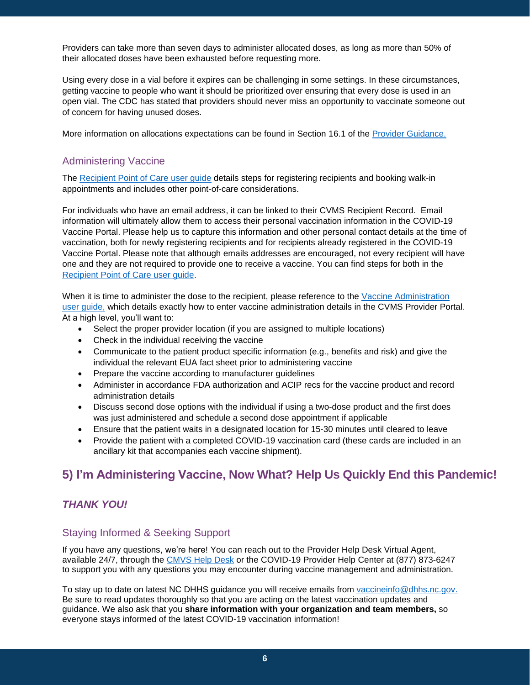Providers can take more than seven days to administer allocated doses, as long as more than 50% of their allocated doses have been exhausted before requesting more.

Using every dose in a vial before it expires can be challenging in some settings. In these circumstances, getting vaccine to people who want it should be prioritized over ensuring that every dose is used in an open vial. The CDC has stated that providers should never miss an opportunity to vaccinate someone out of concern for having unused doses.

More information on allocations expectations can be found in Section 16.1 of the [Provider Guidance.](https://covid19.ncdhhs.gov/media/1233/download)

# Administering Vaccine

The [Recipient Point of Care](https://covid19.ncdhhs.gov/media/2356/open) user guide details steps for registering recipients and booking walk-in appointments and includes other point-of-care considerations.

For individuals who have an email address, it can be linked to their CVMS Recipient Record. Email information will ultimately allow them to access their personal vaccination information in the COVID-19 Vaccine Portal. Please help us to capture this information and other personal contact details at the time of vaccination, both for newly registering recipients and for recipients already registered in the COVID-19 Vaccine Portal. Please note that although emails addresses are encouraged, not every recipient will have one and they are not required to provide one to receive a vaccine. You can find steps for both in the [Recipient Point of Care user guide.](https://covid19.ncdhhs.gov/media/2356/open)

When it is time to administer the dose to the recipient, please reference to the [Vaccine Administration](https://covid19.ncdhhs.gov/media/2378/download?attachment) [user guide,](https://covid19.ncdhhs.gov/media/2378/download?attachment) which details exactly how to enter vaccine administration details in the CVMS Provider Portal. At a high level, you'll want to:

- Select the proper provider location (if you are assigned to multiple locations)
- Check in the individual receiving the vaccine
- Communicate to the patient product specific information (e.g., benefits and risk) and give the individual the relevant EUA fact sheet prior to administering vaccine
- Prepare the vaccine according to manufacturer guidelines
- Administer in accordance FDA authorization and ACIP recs for the vaccine product and record administration details
- Discuss second dose options with the individual if using a two-dose product and the first does was just administered and schedule a second dose appointment if applicable
- Ensure that the patient waits in a designated location for 15-30 minutes until cleared to leave
- Provide the patient with a completed COVID-19 vaccination card (these cards are included in an ancillary kit that accompanies each vaccine shipment).

# **5) I'm Administering Vaccine, Now What? Help Us Quickly End this Pandemic!**

# *THANK YOU!*

# Staying Informed & Seeking Support

If you have any questions, we're here! You can reach out to the Provider Help Desk Virtual Agent, available 24/7, through the [CMVS Help Desk](https://ncgov.servicenowservices.com/csm_vaccine) or the COVID-19 Provider Help Center at (877) 873-6247 to support you with any questions you may encounter during vaccine management and administration.

To stay up to date on latest NC DHHS guidance you will receive emails from [vaccineinfo@dhhs.nc.gov.](mailto:vaccineinfo@dhhs.nc.gov) Be sure to read updates thoroughly so that you are acting on the latest vaccination updates and guidance. We also ask that you **share information with your organization and team members,** so everyone stays informed of the latest COVID-19 vaccination information!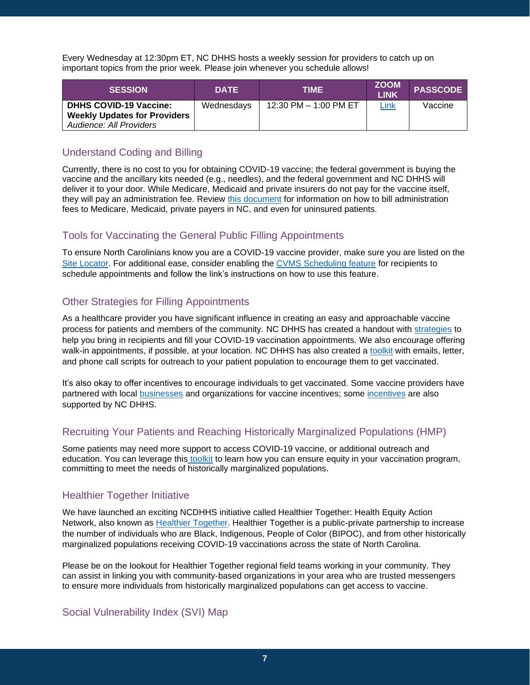Every Wednesday at 12:30pm ET, NC DHHS hosts a weekly session for providers to catch up on important topics from the prior week. Please join whenever you schedule allows!

| <b>SESSION</b>                      | <b>DATE</b> | TIME                  | <b>ZOOM</b><br><b>LINK</b> | <b>PASSCODE</b> |
|-------------------------------------|-------------|-----------------------|----------------------------|-----------------|
| <b>DHHS COVID-19 Vaccine:</b>       | Wednesdays  | 12:30 PM - 1:00 PM ET | <u>Link</u>                | Vaccine         |
| <b>Weekly Updates for Providers</b> |             |                       |                            |                 |
| Audience: All Providers             |             |                       |                            |                 |

# Understand Coding and Billing

Currently, there is no cost to you for obtaining COVID-19 vaccine; the federal government is buying the vaccine and the ancillary kits needed (e.g., needles), and the federal government and NC DHHS will deliver it to your door. While Medicare, Medicaid and private insurers do not pay for the vaccine itself, they will pay an administration fee. Review [this document](https://covid19.ncdhhs.gov/media/3139/open) for information on how to bill administration fees to Medicare, Medicaid, private payers in NC, and even for uninsured patients.

# Tools for Vaccinating the General Public Filling Appointments

To ensure North Carolinians know you are a COVID-19 vaccine provider, make sure you are listed on the [Site Locator.](https://covid19.ncdhhs.gov/cvms-display-vaccine-site-locator-one-pager/download?attachment) For additional ease, consider enabling the [CVMS Scheduling feature](https://covid19.ncdhhs.gov/addendum-scheduling-feature-point-care-and-vaccine-administration-user-guide/download?attachment) for recipients to schedule appointments and follow the link's instructions on how to use this feature.

# Other Strategies for Filling Appointments

As a healthcare provider you have significant influence in creating an easy and approachable vaccine process for patients and members of the community. NC DHHS has created a handout with [strategies](https://covid19.ncdhhs.gov/media/2491/open) to help you bring in recipients and fill your COVID-19 vaccination appointments. We also encourage offering walk-in appointments, if possible, at your location. NC DHHS has also created a [toolkit](https://thesocialpresskit.com/you-have-a-spot-take-your-shot#bring-summer-back-partner-toolkit--doctor-toolkit) with emails, letter, and phone call scripts for outreach to your patient population to encourage them to get vaccinated.

It's also okay to offer incentives to encourage individuals to get vaccinated. Some vaccine providers have partnered with local [businesses](https://covid19.ncdhhs.gov/vaccines/get-back-business-incentivize-covid-19-vaccination/download?attachment) and organizations for vaccine incentives; some [incentives](https://covid19.ncdhhs.gov/vaccines/covid-19-vaccine-incentives) are also supported by NC DHHS.

# Recruiting Your Patients and Reaching Historically Marginalized Populations (HMP)

Some patients may need more support to access COVID-19 vaccine, or additional outreach and education. You can leverage this [toolkit](https://covid19.ncdhhs.gov/media/2393/open) to learn how you can ensure equity in your vaccination program, committing to meet the needs of historically marginalized populations.

# Healthier Together Initiative

We have launched an exciting NCDHHS initiative called Healthier Together: Health Equity Action Network, also known as [Healthier Together.](https://covid19.ncdhhs.gov/vaccines/nc-vaccine-strategy/healthier-together-health-equity-action-network) Healthier Together is a public-private partnership to increase the number of individuals who are Black, Indigenous, People of Color (BIPOC), and from other historically marginalized populations receiving COVID-19 vaccinations across the state of North Carolina.

Please be on the lookout for Healthier Together regional field teams working in your community. They can assist in linking you with community-based organizations in your area who are trusted messengers to ensure more individuals from historically marginalized populations can get access to vaccine.

# Social Vulnerability Index (SVI) Map